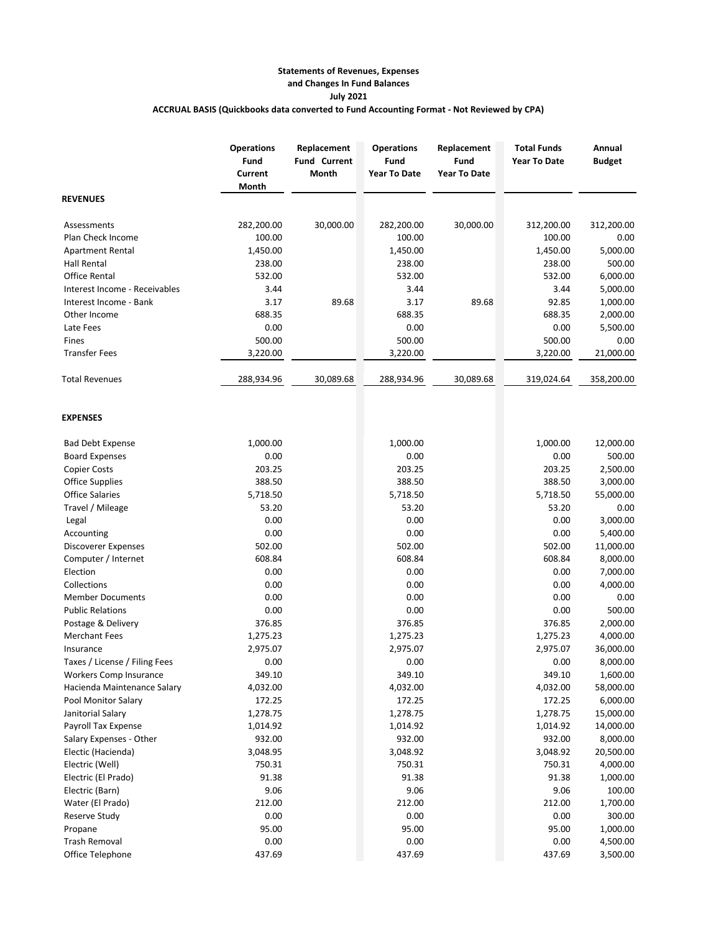## **Statements of Revenues, Expenses and Changes In Fund Balances July 2021 ACCRUAL BASIS (Quickbooks data converted to Fund Accounting Format - Not Reviewed by CPA)**

|                               | <b>Operations</b><br>Fund<br>Current<br>Month | Replacement<br><b>Fund Current</b><br>Month | <b>Operations</b><br>Fund<br><b>Year To Date</b> | Replacement<br>Fund<br><b>Year To Date</b> | <b>Total Funds</b><br><b>Year To Date</b> | Annual<br><b>Budget</b> |
|-------------------------------|-----------------------------------------------|---------------------------------------------|--------------------------------------------------|--------------------------------------------|-------------------------------------------|-------------------------|
| <b>REVENUES</b>               |                                               |                                             |                                                  |                                            |                                           |                         |
| Assessments                   | 282,200.00                                    | 30,000.00                                   | 282,200.00                                       | 30,000.00                                  | 312,200.00                                | 312,200.00              |
| Plan Check Income             | 100.00                                        |                                             | 100.00                                           |                                            | 100.00                                    | 0.00                    |
| <b>Apartment Rental</b>       | 1,450.00                                      |                                             | 1,450.00                                         |                                            | 1,450.00                                  | 5,000.00                |
| Hall Rental                   | 238.00                                        |                                             | 238.00                                           |                                            | 238.00                                    | 500.00                  |
| Office Rental                 | 532.00                                        |                                             | 532.00                                           |                                            | 532.00                                    | 6,000.00                |
| Interest Income - Receivables | 3.44                                          |                                             | 3.44                                             |                                            | 3.44                                      | 5,000.00                |
| Interest Income - Bank        | 3.17                                          | 89.68                                       | 3.17                                             | 89.68                                      | 92.85                                     | 1,000.00                |
| Other Income                  | 688.35                                        |                                             | 688.35                                           |                                            | 688.35                                    | 2,000.00                |
| Late Fees                     | 0.00                                          |                                             | 0.00                                             |                                            | 0.00                                      | 5,500.00                |
| Fines                         | 500.00                                        |                                             | 500.00                                           |                                            | 500.00                                    | 0.00                    |
| <b>Transfer Fees</b>          | 3,220.00                                      |                                             | 3,220.00                                         |                                            | 3,220.00                                  | 21,000.00               |
| <b>Total Revenues</b>         | 288,934.96                                    | 30,089.68                                   | 288,934.96                                       | 30,089.68                                  | 319,024.64                                | 358,200.00              |
| <b>EXPENSES</b>               |                                               |                                             |                                                  |                                            |                                           |                         |
| <b>Bad Debt Expense</b>       | 1,000.00                                      |                                             | 1,000.00                                         |                                            | 1,000.00                                  | 12,000.00               |
| <b>Board Expenses</b>         | 0.00                                          |                                             | 0.00                                             |                                            | 0.00                                      | 500.00                  |
| <b>Copier Costs</b>           | 203.25                                        |                                             | 203.25                                           |                                            | 203.25                                    | 2,500.00                |
| <b>Office Supplies</b>        | 388.50                                        |                                             | 388.50                                           |                                            | 388.50                                    | 3,000.00                |
| <b>Office Salaries</b>        | 5,718.50                                      |                                             | 5,718.50                                         |                                            | 5,718.50                                  | 55,000.00               |
| Travel / Mileage              | 53.20                                         |                                             | 53.20                                            |                                            | 53.20                                     | 0.00                    |
| Legal                         | 0.00                                          |                                             | 0.00                                             |                                            | 0.00                                      | 3,000.00                |
| Accounting                    | 0.00                                          |                                             | 0.00                                             |                                            | 0.00                                      | 5,400.00                |
| Discoverer Expenses           | 502.00                                        |                                             | 502.00                                           |                                            | 502.00                                    | 11,000.00               |
| Computer / Internet           | 608.84                                        |                                             | 608.84                                           |                                            | 608.84                                    | 8,000.00                |
| Election                      | 0.00                                          |                                             | 0.00                                             |                                            | 0.00                                      | 7,000.00                |
| Collections                   | 0.00                                          |                                             | 0.00                                             |                                            | 0.00                                      | 4,000.00                |
| <b>Member Documents</b>       | 0.00                                          |                                             | 0.00                                             |                                            | 0.00                                      | 0.00                    |
| <b>Public Relations</b>       | 0.00                                          |                                             | 0.00                                             |                                            | 0.00                                      | 500.00                  |
| Postage & Delivery            | 376.85                                        |                                             | 376.85                                           |                                            | 376.85                                    | 2,000.00                |
| <b>Merchant Fees</b>          | 1,275.23                                      |                                             | 1,275.23                                         |                                            | 1,275.23                                  | 4,000.00                |
| Insurance                     | 2,975.07                                      |                                             | 2,975.07                                         |                                            | 2,975.07                                  | 36,000.00               |
| Taxes / License / Filing Fees | 0.00                                          |                                             | 0.00                                             |                                            | 0.00                                      | 8,000.00                |
| Workers Comp Insurance        | 349.10                                        |                                             | 349.10                                           |                                            | 349.10                                    | 1,600.00                |
| Hacienda Maintenance Salary   | 4,032.00                                      |                                             | 4,032.00                                         |                                            | 4,032.00                                  | 58,000.00               |
| Pool Monitor Salary           | 172.25                                        |                                             | 172.25                                           |                                            | 172.25                                    | 6,000.00                |
| Janitorial Salary             | 1,278.75                                      |                                             | 1,278.75                                         |                                            | 1,278.75                                  | 15,000.00               |
| Payroll Tax Expense           | 1,014.92                                      |                                             | 1,014.92                                         |                                            | 1,014.92                                  | 14,000.00               |
| Salary Expenses - Other       | 932.00                                        |                                             | 932.00                                           |                                            | 932.00                                    | 8,000.00                |
| Electic (Hacienda)            | 3,048.95                                      |                                             | 3,048.92                                         |                                            | 3,048.92                                  | 20,500.00               |
| Electric (Well)               | 750.31                                        |                                             | 750.31                                           |                                            | 750.31                                    | 4,000.00                |
| Electric (El Prado)           | 91.38                                         |                                             | 91.38                                            |                                            | 91.38                                     | 1,000.00                |
| Electric (Barn)               | 9.06                                          |                                             | 9.06                                             |                                            | 9.06                                      | 100.00                  |
| Water (El Prado)              | 212.00                                        |                                             | 212.00                                           |                                            | 212.00                                    | 1,700.00                |
| Reserve Study                 | 0.00                                          |                                             | 0.00                                             |                                            | 0.00                                      | 300.00                  |
| Propane                       | 95.00                                         |                                             | 95.00                                            |                                            | 95.00                                     | 1,000.00                |
| <b>Trash Removal</b>          | 0.00                                          |                                             | 0.00                                             |                                            | 0.00                                      | 4,500.00                |
| Office Telephone              | 437.69                                        |                                             | 437.69                                           |                                            | 437.69                                    | 3,500.00                |